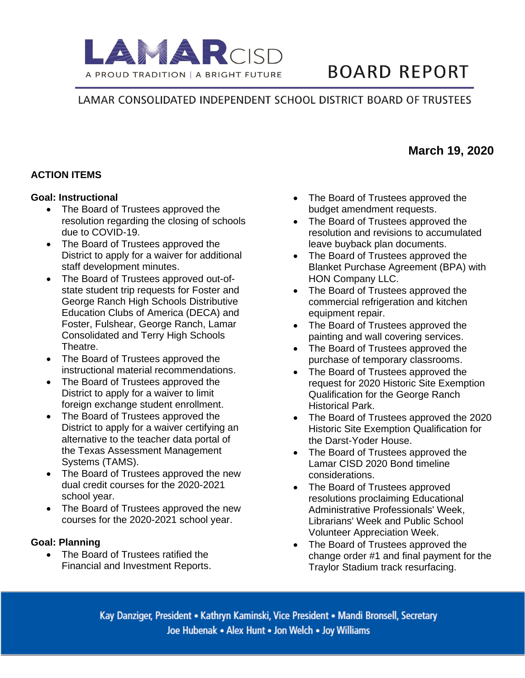

# **BOARD REPORT**

# LAMAR CONSOLIDATED INDEPENDENT SCHOOL DISTRICT BOARD OF TRUSTEES

# **ACTION ITEMS**

#### **Goal: Instructional**

- The Board of Trustees approved the resolution regarding the closing of schools due to COVID-19.
- The Board of Trustees approved the District to apply for a waiver for additional staff development minutes.
- The Board of Trustees approved out-ofstate student trip requests for Foster and George Ranch High Schools Distributive Education Clubs of America (DECA) and Foster, Fulshear, George Ranch, Lamar Consolidated and Terry High Schools Theatre.
- The Board of Trustees approved the instructional material recommendations.
- The Board of Trustees approved the District to apply for a waiver to limit foreign exchange student enrollment.
- The Board of Trustees approved the District to apply for a waiver certifying an alternative to the teacher data portal of the Texas Assessment Management Systems (TAMS).
- The Board of Trustees approved the new dual credit courses for the 2020-2021 school year.
- The Board of Trustees approved the new courses for the 2020-2021 school year.

#### **Goal: Planning**

• The Board of Trustees ratified the Financial and Investment Reports.

- The Board of Trustees approved the budget amendment requests.
- The Board of Trustees approved the resolution and revisions to accumulated leave buyback plan documents.
- The Board of Trustees approved the Blanket Purchase Agreement (BPA) with HON Company LLC.
- The Board of Trustees approved the commercial refrigeration and kitchen equipment repair.
- The Board of Trustees approved the painting and wall covering services.
- The Board of Trustees approved the purchase of temporary classrooms.
- The Board of Trustees approved the request for 2020 Historic Site Exemption Qualification for the George Ranch Historical Park.
- The Board of Trustees approved the 2020 Historic Site Exemption Qualification for the Darst-Yoder House.
- The Board of Trustees approved the Lamar CISD 2020 Bond timeline considerations.
- The Board of Trustees approved resolutions proclaiming Educational Administrative Professionals' Week, Librarians' Week and Public School Volunteer Appreciation Week.
- The Board of Trustees approved the change order #1 and final payment for the Traylor Stadium track resurfacing.

Kay Danziger, President • Kathryn Kaminski, Vice President • Mandi Bronsell, Secretary Joe Hubenak • Alex Hunt • Jon Welch • Joy Williams

# **March 19, 2020**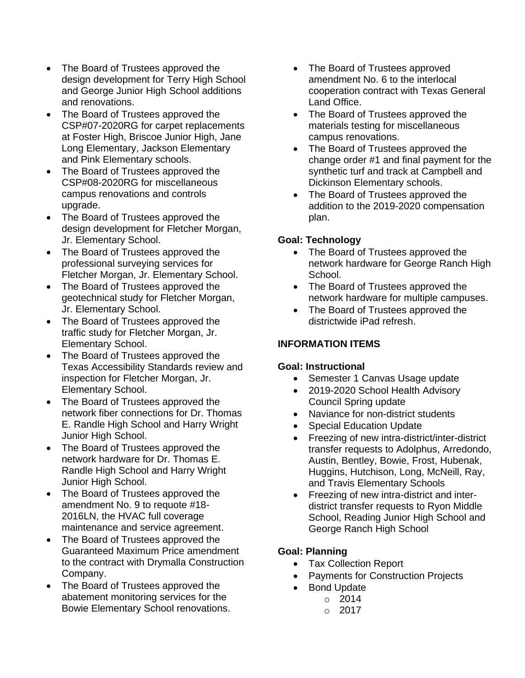- The Board of Trustees approved the design development for Terry High School and George Junior High School additions and renovations.
- The Board of Trustees approved the CSP#07-2020RG for carpet replacements at Foster High, Briscoe Junior High, Jane Long Elementary, Jackson Elementary and Pink Elementary schools.
- The Board of Trustees approved the CSP#08-2020RG for miscellaneous campus renovations and controls upgrade.
- The Board of Trustees approved the design development for Fletcher Morgan, Jr. Elementary School.
- The Board of Trustees approved the professional surveying services for Fletcher Morgan, Jr. Elementary School.
- The Board of Trustees approved the geotechnical study for Fletcher Morgan, Jr. Elementary School.
- The Board of Trustees approved the traffic study for Fletcher Morgan, Jr. Elementary School.
- The Board of Trustees approved the Texas Accessibility Standards review and inspection for Fletcher Morgan, Jr. Elementary School.
- The Board of Trustees approved the network fiber connections for Dr. Thomas E. Randle High School and Harry Wright Junior High School.
- The Board of Trustees approved the network hardware for Dr. Thomas E. Randle High School and Harry Wright Junior High School.
- The Board of Trustees approved the amendment No. 9 to requote #18- 2016LN, the HVAC full coverage maintenance and service agreement.
- The Board of Trustees approved the Guaranteed Maximum Price amendment to the contract with Drymalla Construction Company.
- The Board of Trustees approved the abatement monitoring services for the Bowie Elementary School renovations.
- The Board of Trustees approved amendment No. 6 to the interlocal cooperation contract with Texas General Land Office.
- The Board of Trustees approved the materials testing for miscellaneous campus renovations.
- The Board of Trustees approved the change order #1 and final payment for the synthetic turf and track at Campbell and Dickinson Elementary schools.
- The Board of Trustees approved the addition to the 2019-2020 compensation plan.

### **Goal: Technology**

- The Board of Trustees approved the network hardware for George Ranch High School.
- The Board of Trustees approved the network hardware for multiple campuses.
- The Board of Trustees approved the districtwide iPad refresh.

## **INFORMATION ITEMS**

## **Goal: Instructional**

- Semester 1 Canvas Usage update
- 2019-2020 School Health Advisory Council Spring update
- Naviance for non-district students
- **Special Education Update**
- Freezing of new intra-district/inter-district transfer requests to Adolphus, Arredondo, Austin, Bentley, Bowie, Frost, Hubenak, Huggins, Hutchison, Long, McNeill, Ray, and Travis Elementary Schools
- Freezing of new intra-district and interdistrict transfer requests to Ryon Middle School, Reading Junior High School and George Ranch High School

## **Goal: Planning**

- Tax Collection Report
- Payments for Construction Projects
- Bond Update
	- $\circ$  2014
		- $O 2017$